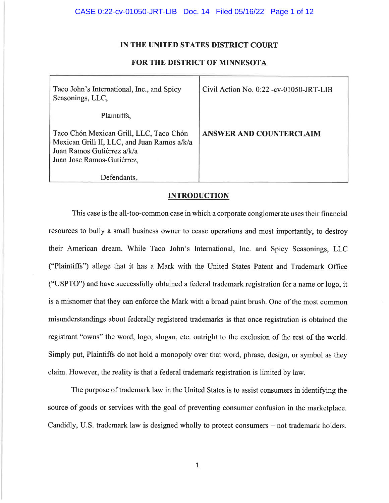## IN THE UNITED STATES DISTRICT COURT

## FOR THE DISTRICT OF MINNESOTA

| Taco John's International, Inc., and Spicy<br>Seasonings, LLC,                                                                                     | Civil Action No. $0:22$ -cv-01050-JRT-LIB |
|----------------------------------------------------------------------------------------------------------------------------------------------------|-------------------------------------------|
| Plaintiffs,                                                                                                                                        |                                           |
| Taco Chón Mexican Grill, LLC, Taco Chón<br>Mexican Grill II, LLC, and Juan Ramos a/k/a<br>Juan Ramos Gutiérrez a/k/a<br>Juan Jose Ramos-Gutiérrez, | <b>ANSWER AND COUNTERCLAIM</b>            |
| Defendants.                                                                                                                                        |                                           |

## **INTRODUCTION**

This case is the all-too-common case in which a corporate conglomerate uses their financial resources to bully a small business owner to cease operations and most importantly, to destroy their American dream. While Taco John's International, Inc. and Spicy Seasonings, LLC ("Plaintiffs") allege that it has a Mark with the United States Patent and Trademark Office ("USPTO") and have successfully obtained a federal trademark registration for a name or logo, it is a misnomer that they can enforce the Mark with a broad paint brush. One of the most common misunderstandings about federally registered trademarks is that once registration is obtained the registrant "owns" the word, logo, slogan, etc. outright to the exclusion of the rest of the world. Simply put, Plaintiffs do not hold a monopoly over that word, phrase, design, or symbol as they claim. However, the reality is that a federal trademark registration is limited by law.

The purpose of trademark law in the United States is to assist consumers in identifying the source of goods or services with the goal of preventing consumer confusion in the marketplace. Candidly, U.S. trademark law is designed wholly to protect consumers – not trademark holders.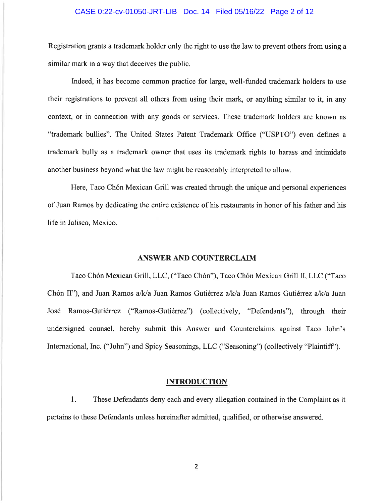## CASE 0:22-cv-01050-JRT-LIB Doc. 14 Filed 05/16/22 Page 2 of 12

Registration grants a trademark holder only the right to use the law to prevent others from using a similar mark in a way that deceives the public.

Indeed, it has become common practice for large, well-funded trademark holders to use their registrations to prevent all others from using their mark, or anything similar to it, in any context, or in connection with any goods or services. These trademark holders are known as "trademark bullies". The United States Patent Trademark Office ("USPTO") even defines a trademark bully as a trademark owner that uses its trademark rights to harass and intimidate another business beyond what the law might be reasonably interpreted to allow.

Here, Taco Chón Mexican Grill was created through the unique and personal experiences of Juan Ramos by dedicating the entire existence of his restaurants in honor of his father and his life in Jalisco, Mexico.

## **ANSWER AND COUNTERCLAIM**

Taco Chón Mexican Grill, LLC, ("Taco Chón"), Taco Chón Mexican Grill II, LLC ("Taco Chón II"), and Juan Ramos a/k/a Juan Ramos Gutiérrez a/k/a Juan Ramos Gutiérrez a/k/a Juan José Ramos-Gutiérrez ("Ramos-Gutiérrez") (collectively, "Defendants"), through their undersigned counsel, hereby submit this Answer and Counterclaims against Taco John's International, Inc. ("John") and Spicy Seasonings, LLC ("Seasoning") (collectively "Plaintiff").

## **INTRODUCTION**

These Defendants deny each and every allegation contained in the Complaint as it 1. pertains to these Defendants unless hereinafter admitted, qualified, or otherwise answered.

 $\overline{2}$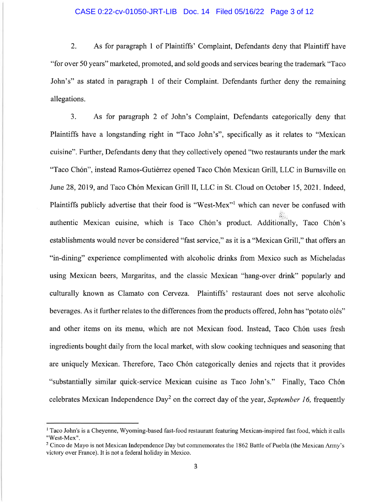## CASE 0:22-cv-01050-JRT-LIB Doc. 14 Filed 05/16/22 Page 3 of 12

 $2.$ As for paragraph 1 of Plaintiffs' Complaint, Defendants deny that Plaintiff have "for over 50 years" marketed, promoted, and sold goods and services bearing the trademark "Taco" John's" as stated in paragraph 1 of their Complaint. Defendants further deny the remaining allegations.

 $3<sub>1</sub>$ As for paragraph 2 of John's Complaint, Defendants categorically deny that Plaintiffs have a longstanding right in "Taco John's", specifically as it relates to "Mexican cuisine". Further, Defendants deny that they collectively opened "two restaurants under the mark "Taco Chón", instead Ramos-Gutiérrez opened Taco Chón Mexican Grill, LLC in Burnsville on June 28, 2019, and Taco Chón Mexican Grill II, LLC in St. Cloud on October 15, 2021. Indeed, Plaintiffs publicly advertise that their food is "West-Mex"<sup>1</sup> which can never be confused with authentic Mexican cuisine, which is Taco Chón's product. Additionally, Taco Chón's establishments would never be considered "fast service," as it is a "Mexican Grill," that offers an "in-dining" experience complimented with alcoholic drinks from Mexico such as Micheladas using Mexican beers, Margaritas, and the classic Mexican "hang-over drink" popularly and culturally known as Clamato con Cerveza. Plaintiffs' restaurant does not serve alcoholic beverages. As it further relates to the differences from the products offered, John has "potato olés" and other items on its menu, which are not Mexican food. Instead, Taco Chón uses fresh ingredients bought daily from the local market, with slow cooking techniques and seasoning that are uniquely Mexican. Therefore, Taco Chón categorically denies and rejects that it provides "substantially similar quick-service Mexican cuisine as Taco John's." Finally, Taco Chón celebrates Mexican Independence Day<sup>2</sup> on the correct day of the year, September 16, frequently

<sup>&</sup>lt;sup>1</sup> Taco John's is a Cheyenne, Wyoming-based fast-food restaurant featuring Mexican-inspired fast food, which it calls "West-Mex".

<sup>&</sup>lt;sup>2</sup> Cinco de Mayo is not Mexican Independence Day but commemorates the 1862 Battle of Puebla (the Mexican Army's victory over France). It is not a federal holiday in Mexico.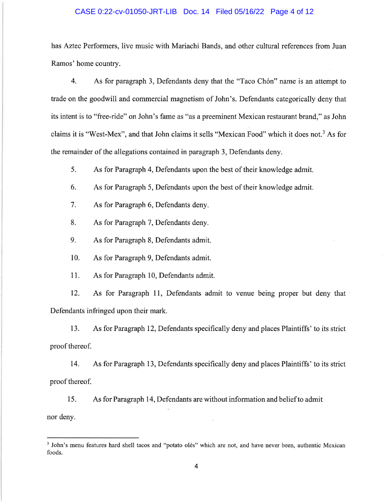## CASE 0:22-cv-01050-JRT-LIB Doc. 14 Filed 05/16/22 Page 4 of 12

has Aztec Performers, live music with Mariachi Bands, and other cultural references from Juan Ramos' home country.

 $4.$ As for paragraph 3, Defendants deny that the "Taco Chón" name is an attempt to trade on the goodwill and commercial magnetism of John's. Defendants categorically deny that its intent is to "free-ride" on John's fame as "as a preeminent Mexican restaurant brand," as John claims it is "West-Mex", and that John claims it sells "Mexican Food" which it does not.<sup>3</sup> As for the remainder of the allegations contained in paragraph 3, Defendants deny.

 $5<sub>1</sub>$ As for Paragraph 4, Defendants upon the best of their knowledge admit.

- 6. As for Paragraph 5, Defendants upon the best of their knowledge admit.
- $7.$ As for Paragraph 6, Defendants deny.
- 8. As for Paragraph 7, Defendants deny.
- 9. As for Paragraph 8, Defendants admit.

10. As for Paragraph 9, Defendants admit.

11. As for Paragraph 10, Defendants admit.

12. As for Paragraph 11, Defendants admit to venue being proper but deny that Defendants infringed upon their mark.

13. As for Paragraph 12, Defendants specifically deny and places Plaintiffs' to its strict proof thereof.

14. As for Paragraph 13, Defendants specifically deny and places Plaintiffs' to its strict proof thereof.

15. As for Paragraph 14, Defendants are without information and belief to admit nor deny.

<sup>&</sup>lt;sup>3</sup> John's menu features hard shell tacos and "potato olés" which are not, and have never been, authentic Mexican foods.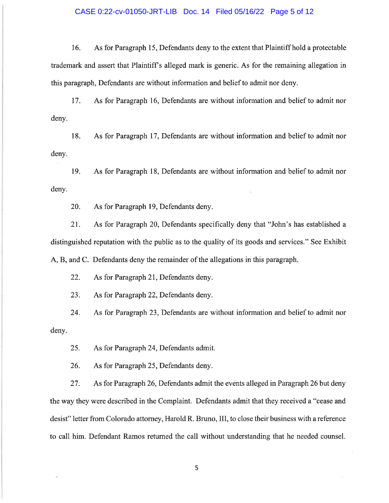## CASE 0:22-cv-01050-JRT-LIB Doc. 14 Filed 05/16/22 Page 5 of 12

16. As for Paragraph 15, Defendants deny to the extent that Plaintiff hold a protectable trademark and assert that Plaintiff's alleged mark is generic. As for the remaining allegation in this paragraph, Defendants are without information and belief to admit nor deny.

17. As for Paragraph 16, Defendants are without information and belief to admit nor deny.

18. As for Paragraph 17, Defendants are without information and belief to admit nor deny.

19. As for Paragraph 18, Defendants are without information and belief to admit nor deny.

20. As for Paragraph 19, Defendants deny.

21. As for Paragraph 20, Defendants specifically deny that "John's has established a distinguished reputation with the public as to the quality of its goods and services." See Exhibit A, B, and C. Defendants deny the remainder of the allegations in this paragraph.

22. As for Paragraph 21, Defendants deny.

23. As for Paragraph 22, Defendants deny.

24. As for Paragraph 23, Defendants are without information and belief to admit nor deny.

25. As for Paragraph 24, Defendants admit.

26. As for Paragraph 25, Defendants deny.

27. As for Paragraph 26, Defendants admit the events alleged in Paragraph 26 but deny the way they were described in the Complaint. Defendants admit that they received a "cease and desist" letter from Colorado attorney, Harold R. Bruno, III, to close their business with a reference to call him. Defendant Ramos returned the call without understanding that he needed counsel.

5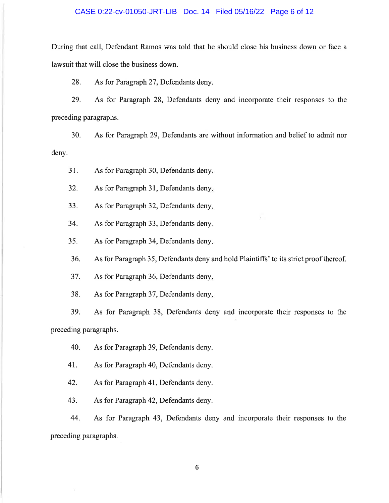## CASE 0:22-cv-01050-JRT-LIB Doc. 14 Filed 05/16/22 Page 6 of 12

During that call, Defendant Ramos was told that he should close his business down or face a lawsuit that will close the business down.

28. As for Paragraph 27, Defendants deny.

29. As for Paragraph 28, Defendants deny and incorporate their responses to the preceding paragraphs.

30. As for Paragraph 29, Defendants are without information and belief to admit nor deny.

31. As for Paragraph 30, Defendants deny.

32. As for Paragraph 31, Defendants deny.

33. As for Paragraph 32, Defendants deny.

34. As for Paragraph 33, Defendants deny.

35. As for Paragraph 34, Defendants deny.

36. As for Paragraph 35, Defendants deny and hold Plaintiffs' to its strict proof thereof.

37. As for Paragraph 36, Defendants deny.

38. As for Paragraph 37, Defendants deny.

39. As for Paragraph 38, Defendants deny and incorporate their responses to the preceding paragraphs.

40. As for Paragraph 39, Defendants deny.

41. As for Paragraph 40, Defendants deny.

42. As for Paragraph 41, Defendants deny.

43. As for Paragraph 42, Defendants deny.

44. As for Paragraph 43, Defendants deny and incorporate their responses to the preceding paragraphs.

6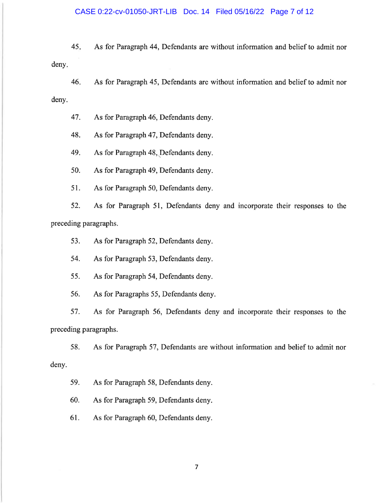## CASE 0:22-cv-01050-JRT-LIB Doc. 14 Filed 05/16/22 Page 7 of 12

 $45.$ As for Paragraph 44, Defendants are without information and belief to admit nor deny.

46. As for Paragraph 45, Defendants are without information and belief to admit nor deny.

47. As for Paragraph 46, Defendants deny.

48. As for Paragraph 47, Defendants deny.

49. As for Paragraph 48, Defendants deny.

50. As for Paragraph 49, Defendants deny.

51. As for Paragraph 50, Defendants deny.

52. As for Paragraph 51, Defendants deny and incorporate their responses to the preceding paragraphs.

53. As for Paragraph 52, Defendants deny.

54. As for Paragraph 53, Defendants deny.

55. As for Paragraph 54, Defendants deny.

56. As for Paragraphs 55, Defendants deny.

57. As for Paragraph 56, Defendants deny and incorporate their responses to the preceding paragraphs.

58. As for Paragraph 57, Defendants are without information and belief to admit nor deny.

59. As for Paragraph 58, Defendants deny.

60. As for Paragraph 59, Defendants deny.

61. As for Paragraph 60, Defendants deny.

 $\overline{7}$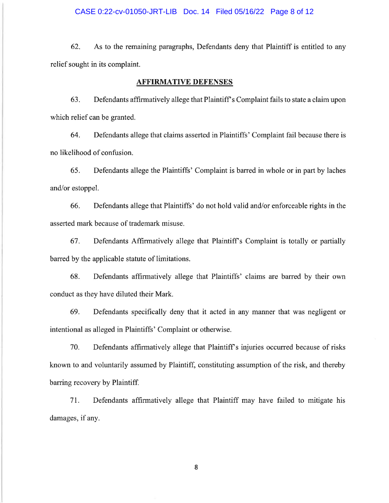## CASE 0:22-cv-01050-JRT-LIB Doc. 14 Filed 05/16/22 Page 8 of 12

62. As to the remaining paragraphs, Defendants deny that Plaintiff is entitled to any relief sought in its complaint.

## **AFFIRMATIVE DEFENSES**

63. Defendants affirmatively allege that Plaintiff's Complaint fails to state a claim upon which relief can be granted.

64. Defendants allege that claims asserted in Plaintiffs' Complaint fail because there is no likelihood of confusion.

65. Defendants allege the Plaintiffs' Complaint is barred in whole or in part by laches and/or estoppel.

66. Defendants allege that Plaintiffs' do not hold valid and/or enforceable rights in the asserted mark because of trademark misuse.

67. Defendants Affirmatively allege that Plaintiff's Complaint is totally or partially barred by the applicable statute of limitations.

68. Defendants affirmatively allege that Plaintiffs' claims are barred by their own conduct as they have diluted their Mark.

69. Defendants specifically deny that it acted in any manner that was negligent or intentional as alleged in Plaintiffs' Complaint or otherwise.

70. Defendants affirmatively allege that Plaintiff's injuries occurred because of risks known to and voluntarily assumed by Plaintiff, constituting assumption of the risk, and thereby barring recovery by Plaintiff.

71. Defendants affirmatively allege that Plaintiff may have failed to mitigate his damages, if any.

8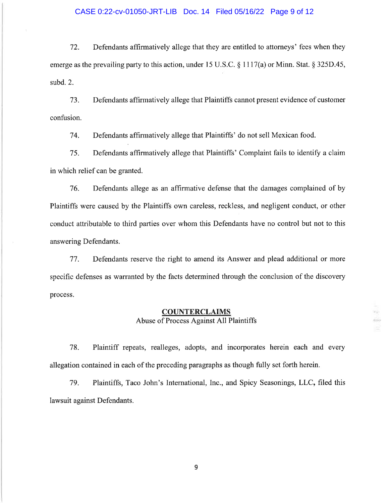## CASE 0:22-cv-01050-JRT-LIB Doc. 14 Filed 05/16/22 Page 9 of 12

72. Defendants affirmatively allege that they are entitled to attorneys' fees when they emerge as the prevailing party to this action, under 15 U.S.C.  $\S$  1117(a) or Minn. Stat.  $\S$  325D.45, subd.  $2.$ 

Defendants affirmatively allege that Plaintiffs cannot present evidence of customer 73. confusion.

74. Defendants affirmatively allege that Plaintiffs' do not sell Mexican food.

75. Defendants affirmatively allege that Plaintiffs' Complaint fails to identify a claim in which relief can be granted.

Defendants allege as an affirmative defense that the damages complained of by 76. Plaintiffs were caused by the Plaintiffs own careless, reckless, and negligent conduct, or other conduct attributable to third parties over whom this Defendants have no control but not to this answering Defendants.

77. Defendants reserve the right to amend its Answer and plead additional or more specific defenses as warranted by the facts determined through the conclusion of the discovery process.

## **COUNTERCLAIMS**

**Abuse of Process Against All Plaintiffs** 

78. Plaintiff repeats, realleges, adopts, and incorporates herein each and every allegation contained in each of the preceding paragraphs as though fully set forth herein.

79. Plaintiffs, Taco John's International, Inc., and Spicy Seasonings, LLC, filed this lawsuit against Defendants.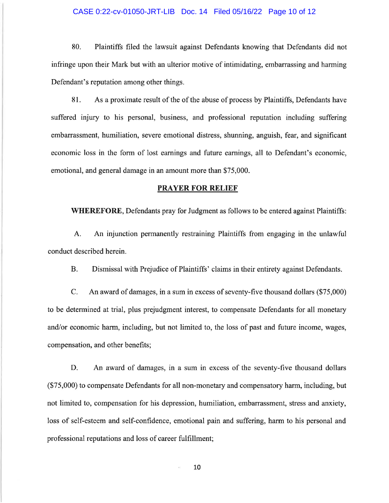## CASE 0:22-cv-01050-JRT-LIB Doc. 14 Filed 05/16/22 Page 10 of 12

80. Plaintiffs filed the lawsuit against Defendants knowing that Defendants did not infringe upon their Mark but with an ulterior motive of intimidating, embarrassing and harming Defendant's reputation among other things.

81. As a proximate result of the of the abuse of process by Plaintiffs, Defendants have suffered injury to his personal, business, and professional reputation including suffering embarrassment, humiliation, severe emotional distress, shunning, anguish, fear, and significant economic loss in the form of lost earnings and future earnings, all to Defendant's economic, emotional, and general damage in an amount more than \$75,000.

## **PRAYER FOR RELIEF**

**WHEREFORE, Defendants pray for Judgment as follows to be entered against Plaintiffs:** 

 $A<sub>1</sub>$ An injunction permanently restraining Plaintiffs from engaging in the unlawful conduct described herein.

**B.** Dismissal with Prejudice of Plaintiffs' claims in their entirety against Defendants.

 $\overline{C}$ . An award of damages, in a sum in excess of seventy-five thousand dollars (\$75,000) to be determined at trial, plus prejudgment interest, to compensate Defendants for all monetary and/or economic harm, including, but not limited to, the loss of past and future income, wages, compensation, and other benefits;

D. An award of damages, in a sum in excess of the seventy-five thousand dollars (\$75,000) to compensate Defendants for all non-monetary and compensatory harm, including, but not limited to, compensation for his depression, humiliation, embarrassment, stress and anxiety, loss of self-esteem and self-confidence, emotional pain and suffering, harm to his personal and professional reputations and loss of career fulfillment;

10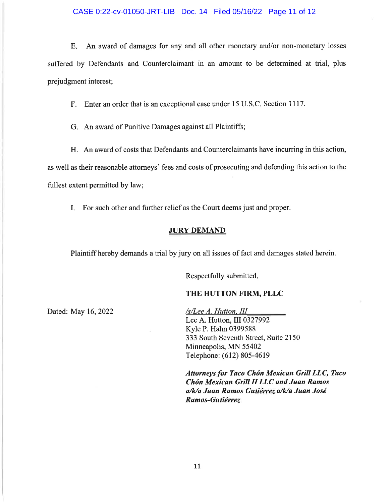## CASE 0:22-cv-01050-JRT-LIB Doc. 14 Filed 05/16/22 Page 11 of 12

E. An award of damages for any and all other monetary and/or non-monetary losses suffered by Defendants and Counterclaimant in an amount to be determined at trial, plus prejudgment interest;

F. Enter an order that is an exceptional case under 15 U.S.C. Section 1117.

G. An award of Punitive Damages against all Plaintiffs;

H. An award of costs that Defendants and Counterclaimants have incurring in this action, as well as their reasonable attorneys' fees and costs of prosecuting and defending this action to the fullest extent permitted by law;

I. For such other and further relief as the Court deems just and proper.

## **JURY DEMAND**

Plaintiff hereby demands a trial by jury on all issues of fact and damages stated herein.

Respectfully submitted,

## THE HUTTON FIRM, PLLC

Dated: May 16, 2022

/s/Lee A. Hutton, III Lee A. Hutton, III 0327992 Kyle P. Hahn 0399588 333 South Seventh Street, Suite 2150 Minneapolis, MN 55402 Telephone: (612) 805-4619

**Attorneys for Taco Chón Mexican Grill LLC, Taco Chón Mexican Grill II LLC and Juan Ramos** a/k/a Juan Ramos Gutiérrez a/k/a Juan José Ramos-Gutiérrez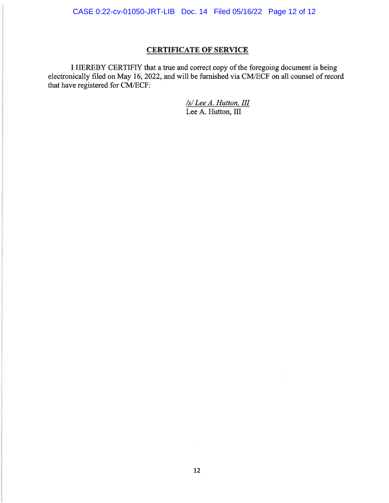CASE 0:22-cv-01050-JRT-LIB Doc. 14 Filed 05/16/22 Page 12 of 12

## **CERTIFICATE OF SERVICE**

I HEREBY CERTIFIY that a true and correct copy of the foregoing document is being electronically filed on May 16, 2022, and will be furnished via CM/ECF on all counsel of record that have registered for CM/ECF:

 $\frac{\sqrt{s}}{Lee}$  A. Hutton, III<br>Lee A. Hutton, III

US.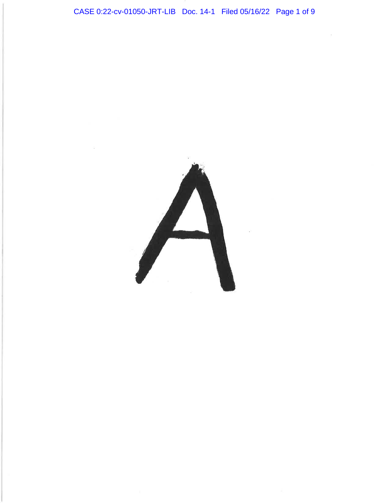CASE 0:22-cv-01050-JRT-LIB Doc. 14-1 Filed 05/16/22 Page 1 of 9

 $\alpha$ 

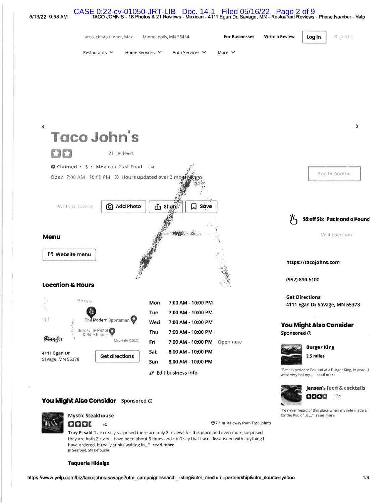

#### You Might Also Consider Sponsored 1



#### **Mystic Steakhouse** 0001 50

**Q 7.1 miles away from Taco John's** 

Troy P. said "I am really surprised there are only 2 reviews for this place and even more surprised they are both 2 stars. I have been about 5 times and can't say that I was dissatisfied with anything I have ordered. It really stinks waiting in..." read more In Seafood, Steakhouses

**Taqueria Hidalgo** 

"I'd never heard of this place when my wife made a r

for the two of us,..." read more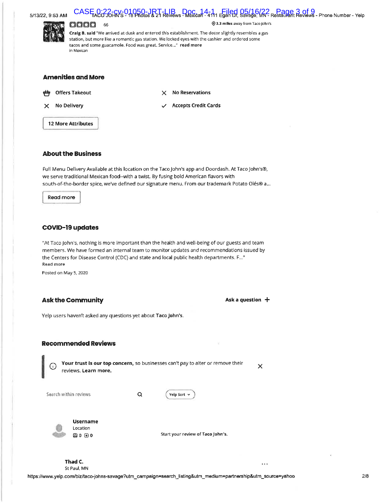#### CASE 0:22-GV-01050-JRT-LIB Doc. 14-1 Filed 05/16/22 Page 3 of 9<br>CASE accordings - 18 Photos & 21 Reviews - Mexican - 4111 Egan Dr. Savage, MN - Restaurant Reviews - Phone Number - Yelp 5/13/22, 9:53 AM



#### 66 aaaa

@3.3 miles away from Taco John's

Ask a question  $+$ 

 $\times$ 

 $\cdots$ 

Craig B. said "We arrived at dusk and entered this establishment. The decor slightly resembles a gas station, but more like a romantic gas station. We locked eyes with the cashier and ordered some tacos and some guacamole. Food was great. Service..." read more in Mexican

## **Amenities and More**

⇔ **Offers Takeout** 

No Delivery  $\times$ 

 $\times$  No Reservations

**Accepts Credit Cards** 

**12 More Attributes** 

## **About the Business**

Full Menu Delivery Available at this location on the Taco John's app and Doordash. At Taco John's®, we serve traditional Mexican food--with a twist. By fusing bold American flavors with south-of-the-border spice, we've defined our signature menu. From our trademark Potato Olés® a...



## **COVID-19 updates**

"At Taco John's, nothing is more important than the health and well-being of our guests and team members. We have formed an internal team to monitor updates and recommendations issued by the Centers for Disease Control (CDC) and state and local public health departments. F..." Read more

Posted on May 5, 2020

## **Ask the Community**

Yelp users haven't asked any questions yet about Taco John's.

### **Recommended Reviews**

Your trust is our top concern, so businesses can't pay to alter or remove their ⊙ reviews. Learn more.

 $\alpha$ 

Search within reviews

Yelp Sort ~



**Username** Location @000

Start your review of Taco John's.

Thad C. St Paul, MN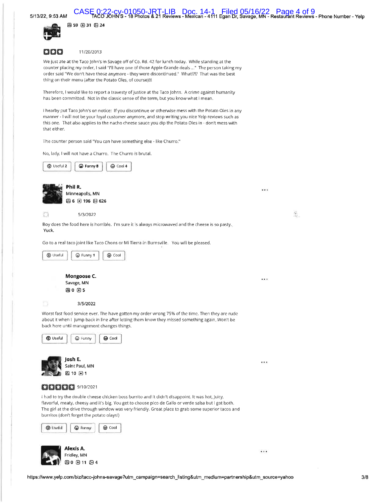#### 5/13/22, 9:53 AM





800

## 11/20/2013

We just ate at the Taco John's in Savage off of Co. Rd. 42 for lunch today. While standing at the counter placing my order, I said "I'll have one of those Apple Grande deals ..." The person taking my order said "We don't have those anymore - they were discontinued." What!?!? That was the best thing on their menu (after the Potato Oles, of course)!!!

Therefore, I would like to report a travesty of justice at the Taco Johns. A crime against humanity has been committed. Not in the classic sense of the term, but you know what I mean.

I hearby put Taco John's on notice: If you discontinue or otherwise mess with the Potato Oles in any manner - I will not be your loyal customer anymore, and stop writing you nice Yelp reviews such as this one. That also applies to the nacho cheese sauce you dip the Potato Oles in - don't mess with that either.

The counter person said "You can have something else - like Churro."

No, lady, I will not have a Churro. The Churro is brutal.



5/3/2022

Yuck.

Boy does the food here is horrible. I'm sure it is always microwaved and the cheese is so pasty.

...

邕

Go to a real taco joint like Taco Chons or Mi Tierra in Burnsville. You will be pleased.



https://www.yelp.com/biz/taco-johns-savage?utm\_campaign=search\_listing&utm\_medium=partnership&utm\_source=yahoo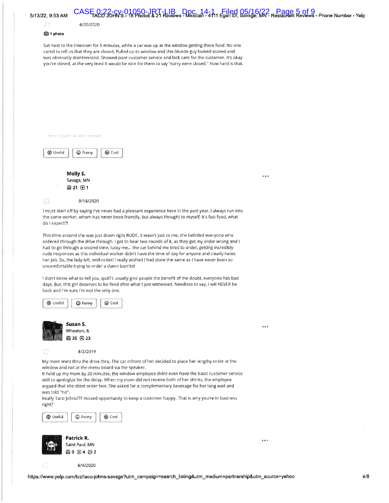## CASE 0:22-CV-01050-JRT-LIB Doc. 14-1 Filed 05/16/22 Page 5 of 9 5/13/22, 9:53 AM 4/20/2020 **图 1 photo**

Sat next to the intercom for 5 minutes, while a car was up at the window getting there food. No one cared to tell us that they are closed. Pulled up to window and this blonde guy looked stoned and was obviously disinterested. Showed poor customer service and lack care for the customer. It's okay you're closed, at the very least it would be nice for them to say "sorry were closed." How hard is that.

Now (il just sat lière instead.



Molly S. Savage, MN @ 21 @ 1

...

 $\dddot{\bullet}$ 

...

8/14/2020

o

I must start off by saying I've never had a pleasant experience here in the past year. I always run into the same worker, whom has never been friendly, but always thought to myself; it's fast food, what do I expect?!

This time around she was just down right RUDE, It wasn't just to me, she belittled everyone who ordered through the drive through. I got to hear two rounds of it, as they got my order wrong and I had to go through a second time, lucky me... the car behind me tried to order, getting incredibly rude responses as this individual worker didn't have the time of day for anyone and clearly hates her job. So, the lady left, mid-order! I really wished I had done the same as I have never been so uncomfortable trying to order a damn burrito!

I don't know what to tell you, quit? I usually give people the benefit of the doubt, everyone has bad days. But, this girl deserves to be fired after what I just witnessed. Needless to say, I will NEVER be back and I'm sure I'm not the only one.



| Susan S.    |
|-------------|
| Wheaton, IL |
| 回35 回23     |

Đ.

8/2/2019

My mom went thru the drive thru. The car infront of her decided to place her lengthy order at the window and not at the menu board via the speaker.

It held up my mom by 20 minutes, the window employee didnt even have the basic customer service skill to apologize for the delay. When my mom did not receive both of her drinks, the employee argued that she didnt order two. She asked for a complementary beverage for her long wait and was told "no".

Really Taco Johns??? missed opportunity to keep a customer happy. That is why you're in business right?





6/4/2020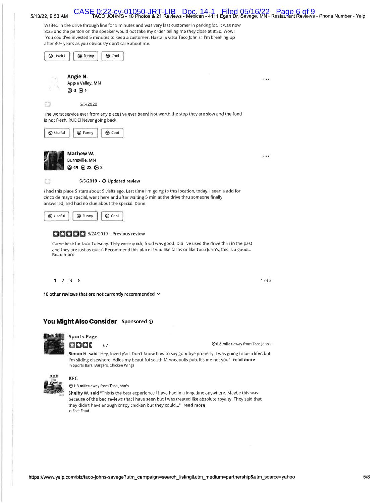#### 50-JRT-LIB DOC, 14-1 Filed 05/16/22 Page 6 of 9<br>Photos & 21 Reviews - Mexican - 4111 Egan Dr, Savage, MN - Restaurant Reviews - Phone Number - Yelp 5/13/22, 9:53 AM

Waited in the drive through line for 5 minutes and was very last customer in parking lot. It was now 8:35 and the person on the speaker would not take my order telling me they close at 8:30. Wow! You could've invested 5 minutes to keep a customer, Hasta la vista Taco John's! I'm breaking up after 40+ years as you obviously don't care about me.



![](_page_17_Picture_3.jpeg)

## **KFC**

**1.3 miles away from Taco John's** 

Shelby W. said "This is the best experience I have had in a long time anywhere. Maybe this was because of the bad reviews that I have seen but I was treated like absolute royalty. They said that they didn't have enough crispy chicken but they could ... " read more in Fast Food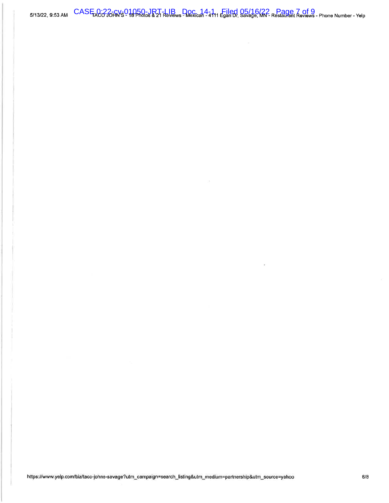5/13/22, 9:53 AM CASE 0:22-cv-01050-JRT-LIB Doc. 14-1 Filed 05/16/22 Page 7 of 9<br>5/13/22, 9:53 AM CASE ROCHN'S - 18 Photos & 21 Reviews - Mexican - 4111 Egan Dr. Savage, MN - Restaurant Reviews - Phone Number - Yelp

 $\hat{\mathbf{r}}$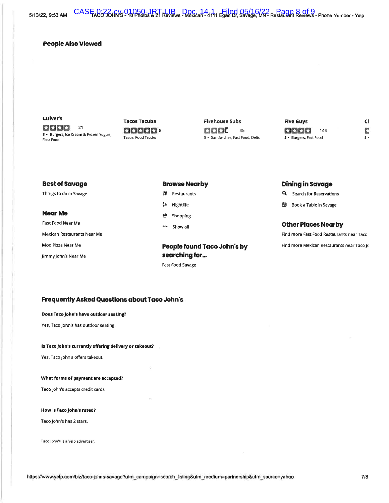CASE 0.22-RV-01050-JRT-LIB Doc. 14-1 Filed 05/16/22 Page 8 of 9 5/13/22, 9:53 AM

#### **People Also Viewed**

**Culver's** 

oooo  $21$ \$ · Burgers, Ice Cream & Frozen Yogurt, Fast Food

**Tacos Tacuba**  $00000$ Tacos, Food Trucks

**Firehouse Subs** noor 45 \$ · Sandwiches, Fast Food, Delis

| Five Guys               |     |  |  |
|-------------------------|-----|--|--|
| 16.76.7                 | 144 |  |  |
| \$ · Burgers, Fast Food |     |  |  |

 $C1$ c  $\ddot{\mathbf{s}}$ .

#### **Best of Savage**

Things to do In Savage

#### **Near Me**

Fast Food Near Me

Mexican Restaurants Near Me

Mod Plzza Near Me

Jimmy John's Near Me

#### **Browse Nearby**

98 Restaurants ąs. Nightlife

Shopping e

Show all  $\cdots$ 

People found Taco John's by searching for... **Fast Food Savage** 

#### **Dining in Savage**

Q Search for Reservations

曲 Book a Table in Savage

### **Other Places Nearby**

Find more Fast Food Restaurants near Taco

Find more Mexican Restaurants near Taco k

## Frequently Asked Questions about Taco John's

#### Does Taco John's have outdoor seating?

Yes, Taco John's has outdoor seating.

#### is Taco John's currently offering delivery or takeout?

Yes, Taco John's offers takeout.

#### What forms of payment are accepted?

Taco John's accepts credit cards.

#### How is Taco John's rated?

Taco John's has 2 stars.

Taco John's is a Yelp advertiser.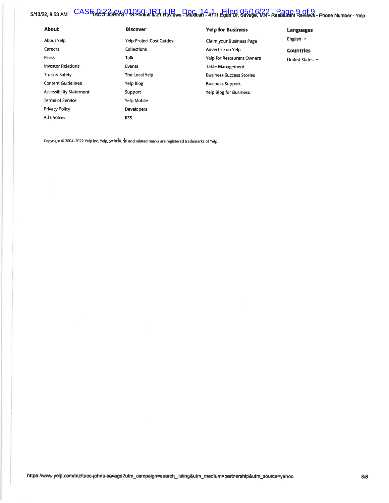# 5/13/22, 9:53 AM CASE ACC CORNSOLO BRIT-LIB DOCtor 14-111 Filed 05/16/22 Page 9 of 9

| <b>About</b>                   | <b>Discover</b>                 | <b>Yelp for Business</b>        | <b>Languages</b>                    |  |
|--------------------------------|---------------------------------|---------------------------------|-------------------------------------|--|
| About Yelp                     | <b>Yelp Project Cost Guides</b> | Claim your Business Page        | English $\sim$                      |  |
| Careers                        | <b>Collections</b>              | Advertise on Yelp               | <b>Countries</b><br>United States v |  |
| Press                          | Talk                            | Yelp for Restaurant Owners      |                                     |  |
| <b>Investor Relations</b>      | Events                          | <b>Table Management</b>         |                                     |  |
| Trust & Safety                 | The Local Yelp                  | <b>Business Success Stories</b> |                                     |  |
| <b>Content Guidelines</b>      | Yelo Blog                       | <b>Business Support</b>         |                                     |  |
| <b>Accessibility Statement</b> | Support                         | Yelp Blog for Business          |                                     |  |
| <b>Terms of Service</b>        | Yelp Mobile                     |                                 |                                     |  |
| Privacy Policy                 | <b>Developers</b>               |                                 |                                     |  |
| <b>Ad Choices</b>              | RSS                             |                                 |                                     |  |

Copyright © 2004-2022 Yelp Inc. Yelp, yelp  $\mathbf{k}, \mathbf{k}$  and related marks are registered trademarks of Yelp.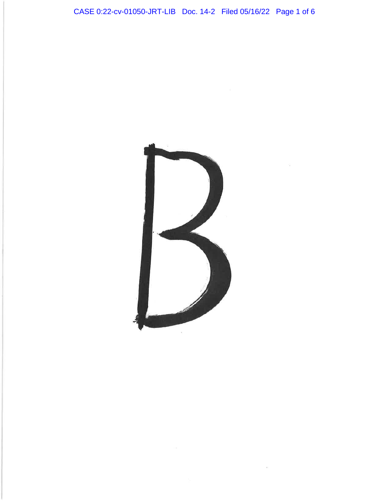![](_page_21_Picture_1.jpeg)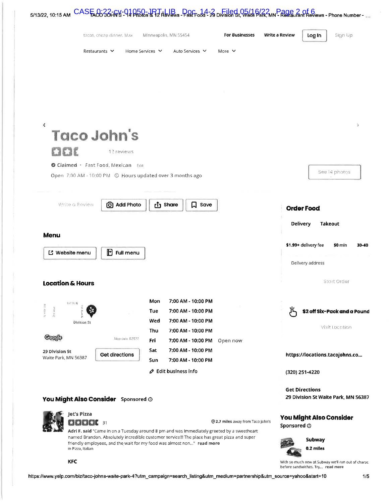![](_page_22_Picture_0.jpeg)

https://www.yelp.com/biz/taco-johns-waite-park-4?utm\_campaign=search\_listing&utm\_medium=partnership&utm\_source=yahoo&start=10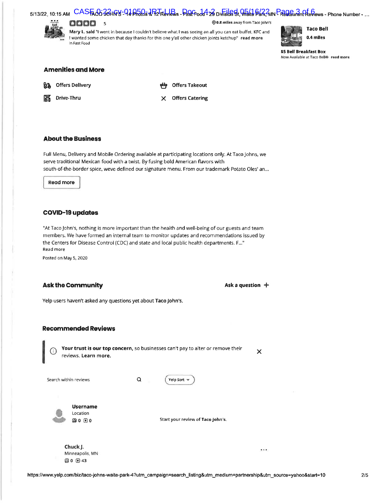![](_page_23_Picture_0.jpeg)

 $\cdots$ 

Chuck J.

Minneapolis, MN **图 0 图 43**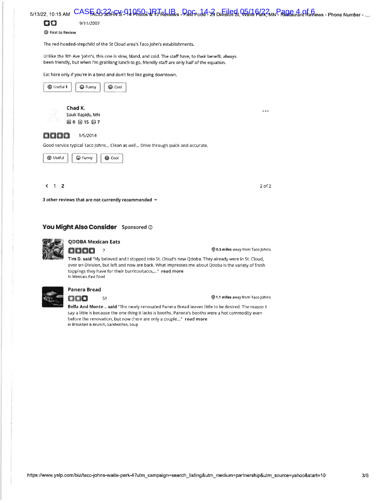## 5/13/22, 10:15 AM CASE & 33-16'S-91 Ph50s & R2TRdvlews - PasCrodd 29 Division 91, Water Park, MNP Regram Reforms - Phone Number - ...

80 9/11/2007

#### **1** First to Review

The red-headed-stepchild of the St Cloud area's Taco John's establishments.

Unlike the 9th Ave 'John's, this one is slow, bland, and cold. The staff have, to their benefit, always been friendly, but when I'm grabbing lunch to go, friendly staff are only half of the equation.

Eat here only if you're in a bind and don't feel like going downtown.

| <b>W</b> Useful 1 | <b>O</b> Funny                            | <b>⊝</b> Cool   |  |                                                                                 |
|-------------------|-------------------------------------------|-----------------|--|---------------------------------------------------------------------------------|
|                   | Chad K.<br>Sauk Rapids, MN<br>@ 0 日 15 27 |                 |  |                                                                                 |
|                   | 1/5/2014                                  |                 |  | Good service typical Taco Johns Clean as well Drive through quick and accurate, |
| <b>@</b> Useful   | <b>●</b> Funny                            | $\bigcirc$ Cool |  |                                                                                 |

 $2$  of  $2$ 

 $\dddotsc$ 

3 other reviews that are not currently recommended v

## You Might Also Consider Sponsored ®

![](_page_24_Picture_10.jpeg)

 $< 12$ 

## **QDOBA Mexican Eats**

aaaa :

© 0.3 miles away from Taco John's

Tim D. said "My beloved and I stopped into St. Cloud's new Qdoba. They already were in St. Cloud, over on Division, but left and now are back. What impresses me about Qdoba is the variety of fresh toppings they have for their burritos/tacos,..." read more in Mexican, Fast Food

![](_page_24_Picture_14.jpeg)

## **Panera Bread**

000 51 @1.1 miles away from Taco John's

Bella And Monte .. said "The newly renovated Panera Bread leaves little to be desired. The reason I say a little is because the one thing it lacks is booths. Panera's booths were a hot commodity even before the renovation, but now there are only a couple..." read more in Breakfast & Brunch, Sandwiches, Soup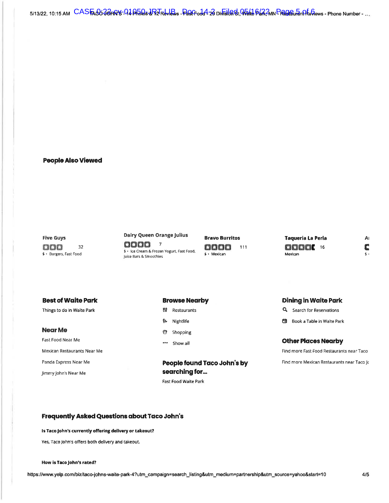5/13/22, 10:15 AM CASEA& 33-19'5-94 Phales & R2TReviews - ParcFood 2-28 Divisiba St, Walte 642 AM PRAGO Ruman Radiows - Phone Number - ...

### **People Also Viewed**

**Five Guys** 

888 32 \$ · Burgers, Fast Food

**Dairy Queen Orange Julius** 8888  $\overline{7}$ \$ · Ice Cream & Frozen Yogurt, Fast Food, Juice Bars & Smoothies

**Bravo Burritos** 0000 111 \$ · Mexican

Taqueria La Perla  $00000$ Mexican

 $\mathbf{A}$ C  $\mathbf{s}$ .

## **Best of Waite Park**

Things to do in Waite Park

### **Near Me**

Fast Food Near Me

Mexican Restaurants Near Me

Panda Express Near Me

Jimmy John's Near Me

## **Browse Nearby**

- **削** Restaurants gs Nightlife
- **台** Shopping
- \*\*\* Show all

## People found Taco John's by searching for... Fast Food Waite Park

## **Dining in Waite Park**

Q Search for Reservations

**問** Book a Table in Waite Park

### **Other Places Nearby**

Find more Fast Food Restaurants near Taco

Find more Mexican Restaurants near Taco Jo

## Frequently Asked Questions about Taco John's

Is Taco John's currently offering delivery or takeout?

Yes, Taco John's offers both delivery and takeout.

How is Taco John's rated?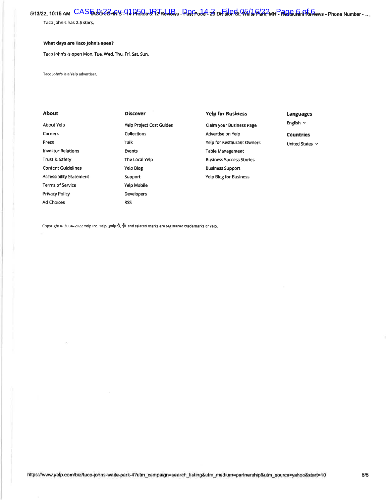## 5/13/22, 10:15 AM CASEA&238HNS-91Aha0sdR2TRdvlews - ParcFodd-28 DivisibiRet, Wald 6622MNPRadeuranPR66ws - Phone Number -...

Taco John's has 2.5 stars.

#### What days are Taco John's open?

Taco John's is open Mon, Tue, Wed, Thu, Fri, Sat, Sun.

Taco John's is a Yelp advertiser.

| <b>About</b>                   | <b>Discover</b>                 | <b>Yelp for Business</b>        | Languages        |  |
|--------------------------------|---------------------------------|---------------------------------|------------------|--|
| About Yelp                     | <b>Yelp Project Cost Guides</b> | Claim your Business Page        | English $\sim$   |  |
| Careers                        | <b>Collections</b>              | Advertise on Yelp               | <b>Countries</b> |  |
| Press                          | Talk                            | Yelp for Restaurant Owners      | United States v  |  |
| <b>Investor Relations</b>      | Events                          | <b>Table Management</b>         |                  |  |
| Trust & Safety                 | The Local Yelp                  | <b>Business Success Stories</b> |                  |  |
| <b>Content Guidelines</b>      | Yelp Blog                       | <b>Business Support</b>         |                  |  |
| <b>Accessibility Statement</b> | Support                         | <b>Yelp Blog for Business</b>   |                  |  |
| <b>Terms of Service</b>        | Yelp Mobile                     |                                 |                  |  |
| Privacy Pollcy                 | <b>Developers</b>               |                                 |                  |  |
| <b>Ad Choices</b>              | <b>RSS</b>                      |                                 |                  |  |

Copyright © 2004-2022 Yelp Inc. Yelp, yelp  $\frac{1}{3}$ ,  $\frac{3}{3}$  and related marks are registered trademarks of Yelp.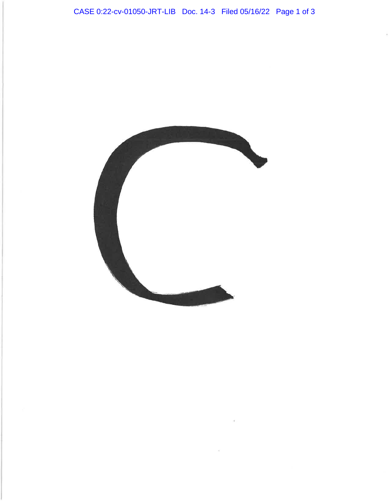![](_page_27_Picture_1.jpeg)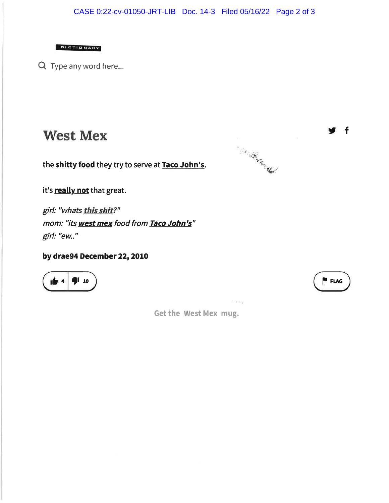## CASE 0:22-cv-01050-JRT-LIB Doc. 14-3 Filed 05/16/22 Page 2 of 3

## DICTIONARY

Q Type any word here...

# **West Mex**

the shitty food they try to serve at Taco John's.

it's **really not** that great.

girl: "whats this shit?" mom: "its west mex food from Taco John's" girl: "ew.."

by drae94 December 22, 2010

![](_page_28_Figure_8.jpeg)

![](_page_28_Picture_10.jpeg)

 $\mathbf{f}$ 

EP e e p

Get the West Mex mug.